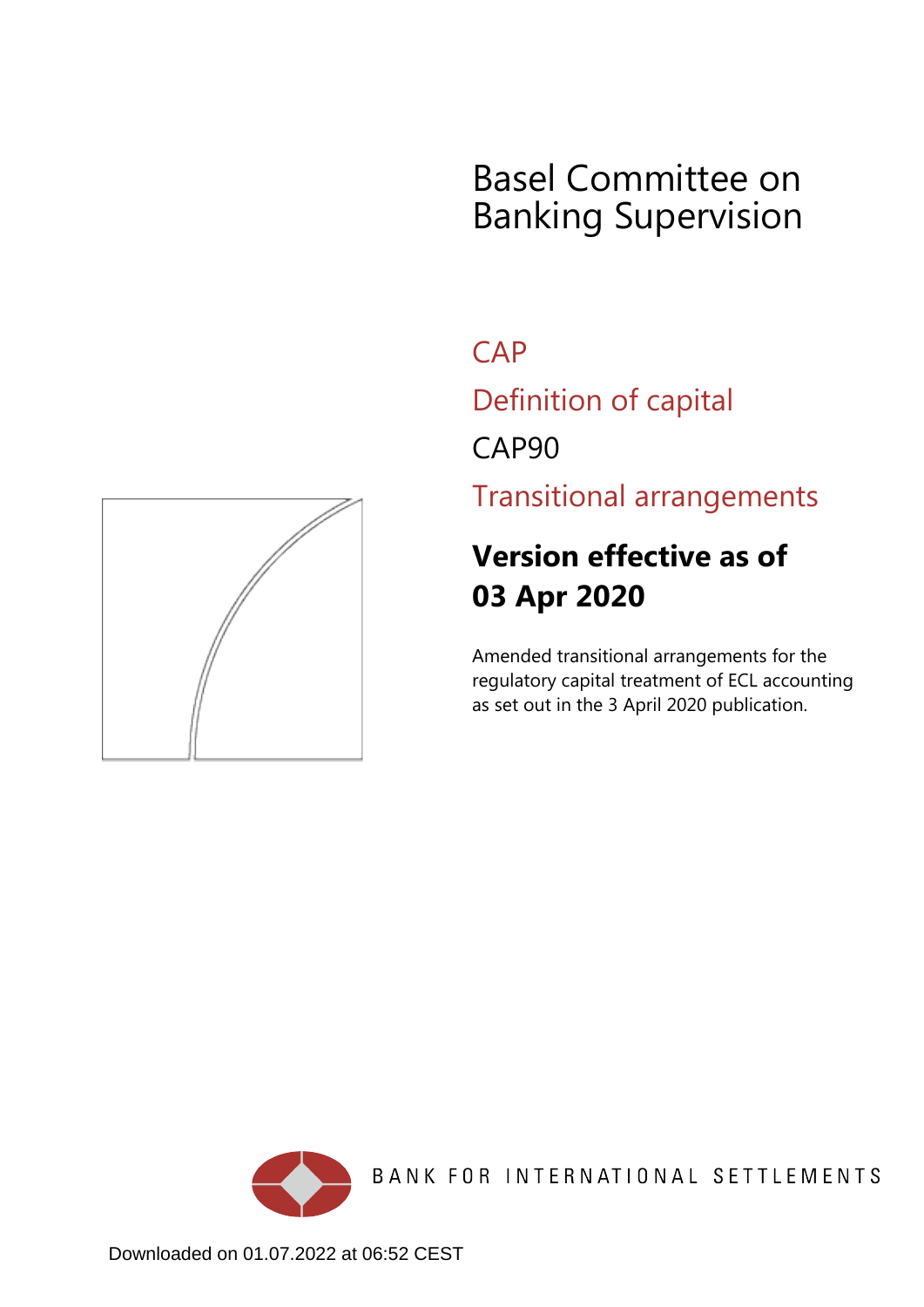# Basel Committee on Banking Supervision

**CAP** 

Definition of capital

CAP90

Transitional arrangements

## **Version effective as of 03 Apr 2020**

Amended transitional arrangements for the regulatory capital treatment of ECL accounting as set out in the 3 April 2020 publication.



BANK FOR INTERNATIONAL SETTLEMENTS

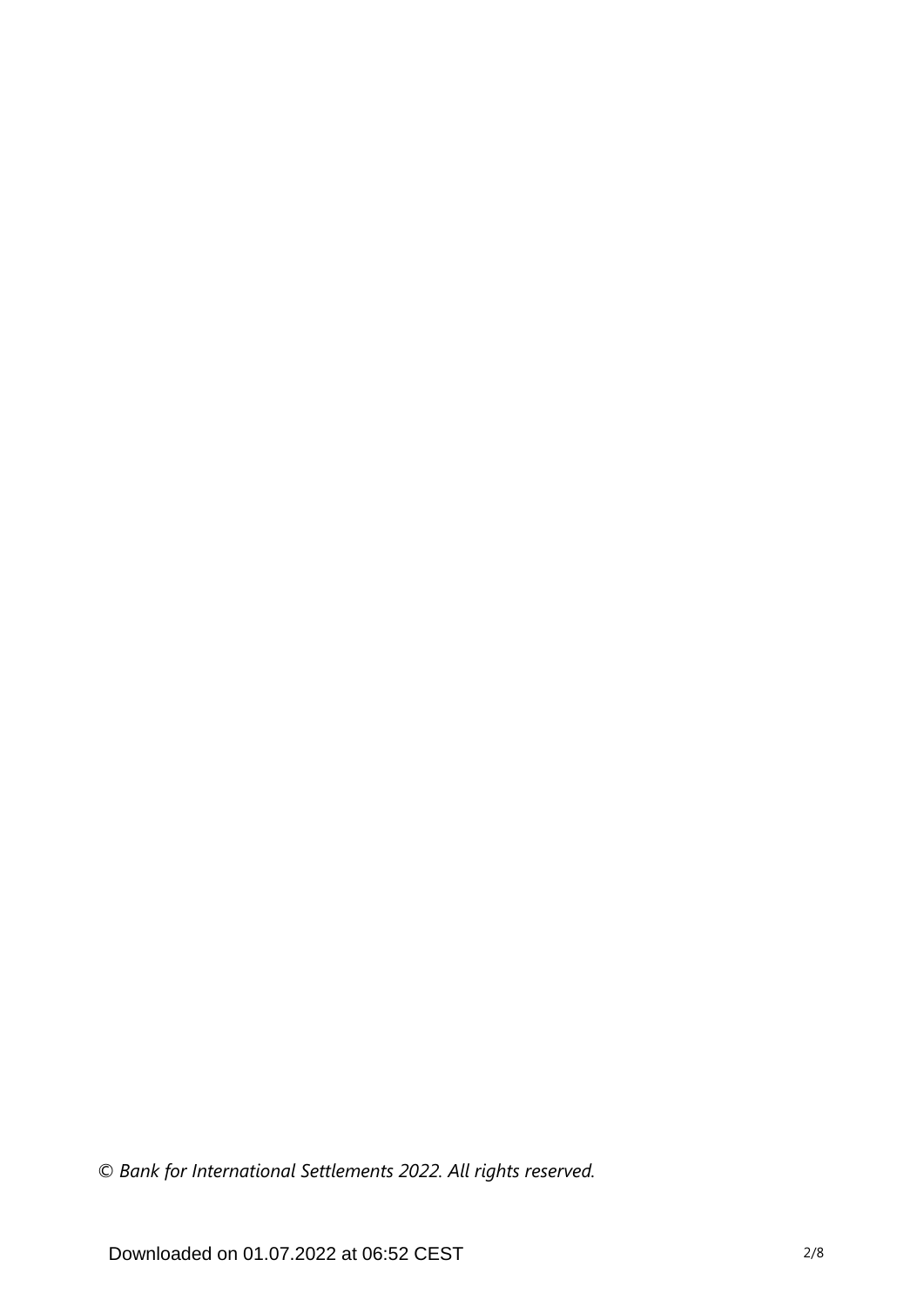*© Bank for International Settlements 2022. All rights reserved.*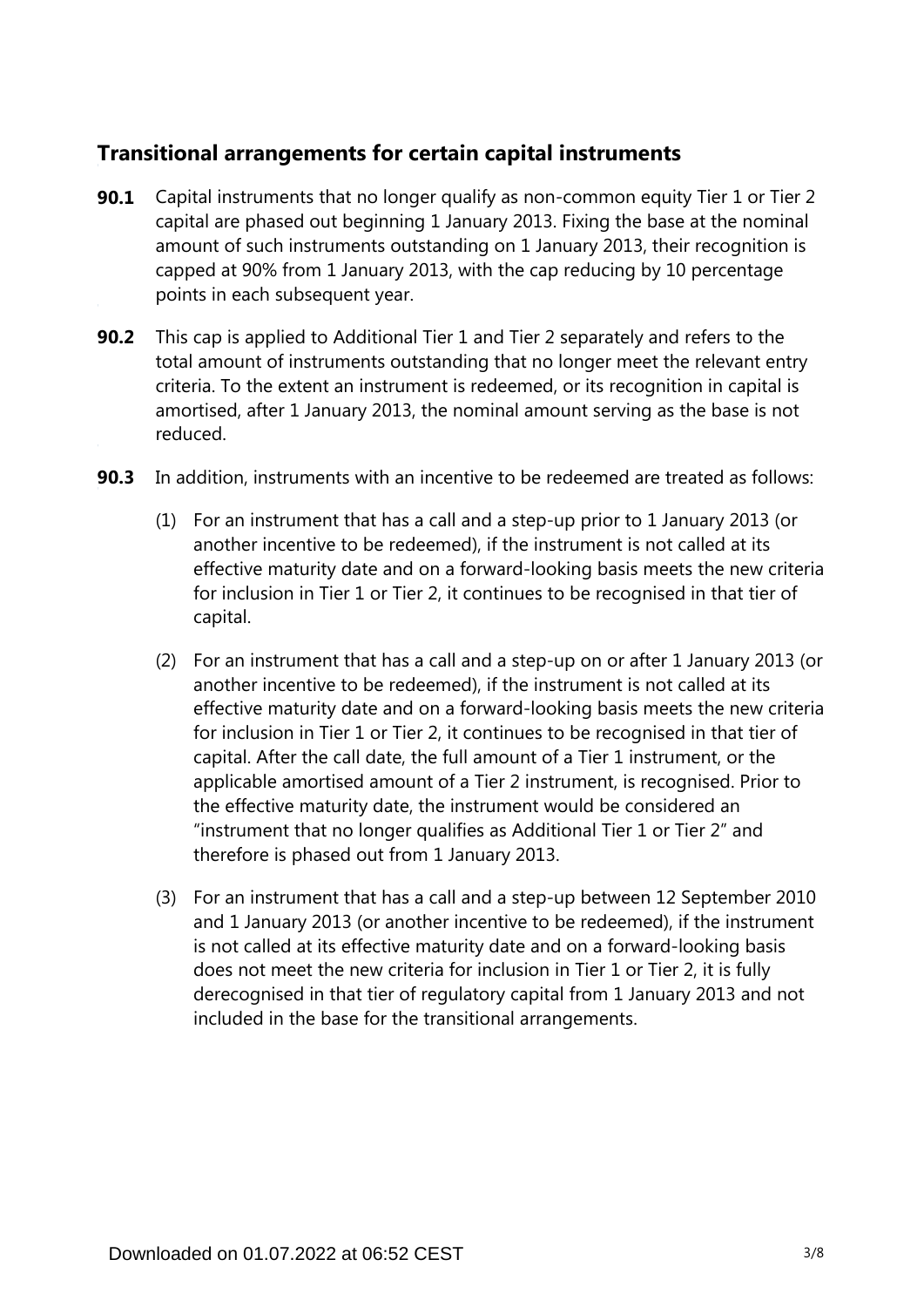## **Transitional arrangements for certain capital instruments**

- Capital instruments that no longer qualify as non-common equity Tier 1 or Tier 2 capital are phased out beginning 1 January 2013. Fixing the base at the nominal amount of such instruments outstanding on 1 January 2013, their recognition is capped at 90% from 1 January 2013, with the cap reducing by 10 percentage points in each subsequent year. **90.1**
- **90.2** This cap is applied to Additional Tier 1 and Tier 2 separately and refers to the total amount of instruments outstanding that no longer meet the relevant entry criteria. To the extent an instrument is redeemed, or its recognition in capital is amortised, after 1 January 2013, the nominal amount serving as the base is not reduced.
- **90.3** In addition, instruments with an incentive to be redeemed are treated as follows:
	- (1) For an instrument that has a call and a step-up prior to 1 January 2013 (or another incentive to be redeemed), if the instrument is not called at its effective maturity date and on a forward-looking basis meets the new criteria for inclusion in Tier 1 or Tier 2, it continues to be recognised in that tier of capital.
	- (2) For an instrument that has a call and a step-up on or after 1 January 2013 (or another incentive to be redeemed), if the instrument is not called at its effective maturity date and on a forward-looking basis meets the new criteria for inclusion in Tier 1 or Tier 2, it continues to be recognised in that tier of capital. After the call date, the full amount of a Tier 1 instrument, or the applicable amortised amount of a Tier 2 instrument, is recognised. Prior to the effective maturity date, the instrument would be considered an "instrument that no longer qualifies as Additional Tier 1 or Tier 2" and therefore is phased out from 1 January 2013.
	- (3) For an instrument that has a call and a step-up between 12 September 2010 and 1 January 2013 (or another incentive to be redeemed), if the instrument is not called at its effective maturity date and on a forward-looking basis does not meet the new criteria for inclusion in Tier 1 or Tier 2, it is fully derecognised in that tier of regulatory capital from 1 January 2013 and not included in the base for the transitional arrangements.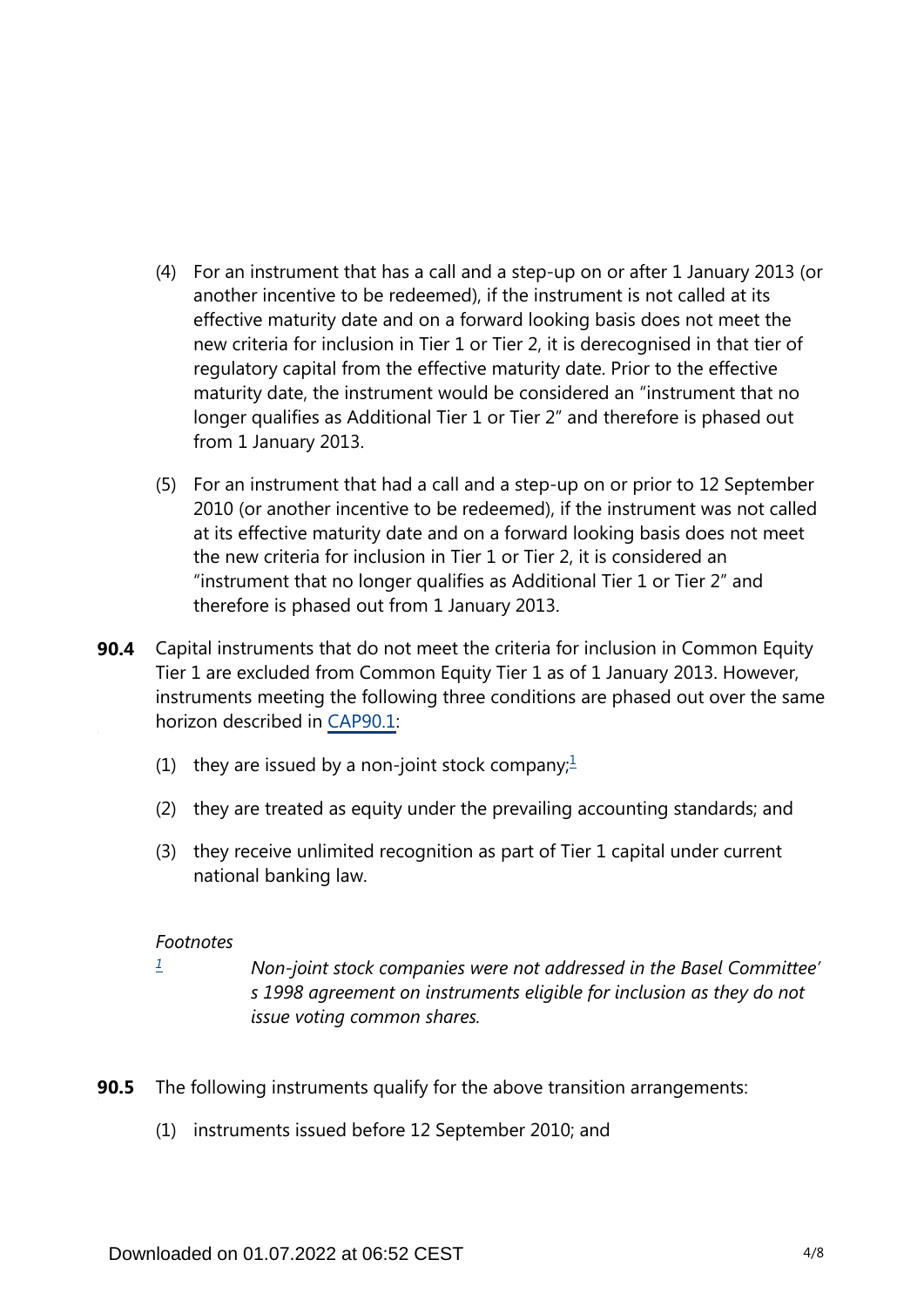- (4) For an instrument that has a call and a step-up on or after 1 January 2013 (or another incentive to be redeemed), if the instrument is not called at its effective maturity date and on a forward looking basis does not meet the new criteria for inclusion in Tier 1 or Tier 2, it is derecognised in that tier of regulatory capital from the effective maturity date. Prior to the effective maturity date, the instrument would be considered an "instrument that no longer qualifies as Additional Tier 1 or Tier 2" and therefore is phased out from 1 January 2013.
- (5) For an instrument that had a call and a step-up on or prior to 12 September 2010 (or another incentive to be redeemed), if the instrument was not called at its effective maturity date and on a forward looking basis does not meet the new criteria for inclusion in Tier 1 or Tier 2, it is considered an "instrument that no longer qualifies as Additional Tier 1 or Tier 2" and therefore is phased out from 1 January 2013.
- <span id="page-3-1"></span>Capital instruments that do not meet the criteria for inclusion in Common Equity Tier 1 are excluded from Common Equity Tier 1 as of 1 January 2013. However, instruments meeting the following three conditions are phased out over the same horizon described in [CAP90.1](https://www.bis.org/basel_framework/chapter/CAP/90.htm?tldate=20220101&inforce=20200403&published=20200403#paragraph_CAP_90_20200403_90_1): **90.4**
	- ([1](#page-3-0)) they are issued by a non-joint stock company; $\frac{1}{2}$
	- (2) they are treated as equity under the prevailing accounting standards; and
	- (3) they receive unlimited recognition as part of Tier 1 capital under current national banking law.

#### *Footnotes*

<span id="page-3-0"></span>*[1](#page-3-1)*

- *Non-joint stock companies were not addressed in the Basel Committee' s 1998 agreement on instruments eligible for inclusion as they do not issue voting common shares.*
- **90.5** The following instruments qualify for the above transition arrangements:
	- (1) instruments issued before 12 September 2010; and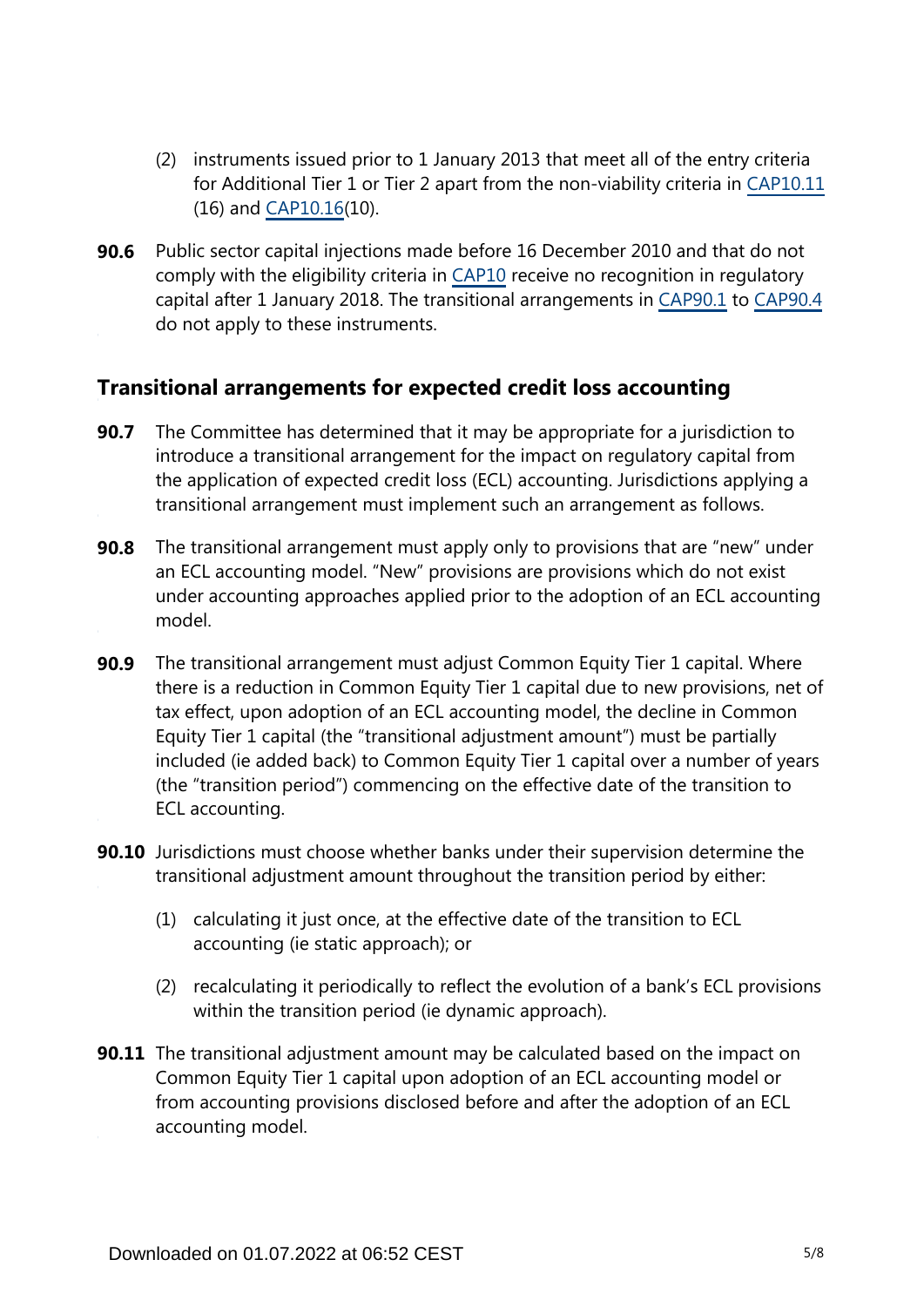- (2) instruments issued prior to 1 January 2013 that meet all of the entry criteria for Additional Tier 1 or Tier 2 apart from the non-viability criteria in [CAP10.11](https://www.bis.org/basel_framework/chapter/CAP/10.htm?tldate=20220101&inforce=20191215&published=20200605#paragraph_CAP_10_20191215_10_11) (16) and [CAP10.16\(](https://www.bis.org/basel_framework/chapter/CAP/10.htm?tldate=20220101&inforce=20191215&published=20200605#paragraph_CAP_10_20191215_10_16)10).
- **90.6** Public sector capital injections made before 16 December 2010 and that do not comply with the eligibility criteria in [CAP10](https://www.bis.org/basel_framework/chapter/CAP/10.htm?tldate=20220101&inforce=20191215&published=20200605) receive no recognition in regulatory capital after 1 January 2018. The transitional arrangements in [CAP90.1](https://www.bis.org/basel_framework/chapter/CAP/90.htm?tldate=20220101&inforce=20200403&published=20200403#paragraph_CAP_90_20200403_90_1) to [CAP90.4](https://www.bis.org/basel_framework/chapter/CAP/90.htm?tldate=20220101&inforce=20200403&published=20200403#paragraph_CAP_90_20200403_90_4) do not apply to these instruments.

## **Transitional arrangements for expected credit loss accounting**

- The Committee has determined that it may be appropriate for a jurisdiction to introduce a transitional arrangement for the impact on regulatory capital from the application of expected credit loss (ECL) accounting. Jurisdictions applying a transitional arrangement must implement such an arrangement as follows. **90.7**
- The transitional arrangement must apply only to provisions that are "new" under an ECL accounting model. "New" provisions are provisions which do not exist under accounting approaches applied prior to the adoption of an ECL accounting model. **90.8**
- The transitional arrangement must adjust Common Equity Tier 1 capital. Where there is a reduction in Common Equity Tier 1 capital due to new provisions, net of tax effect, upon adoption of an ECL accounting model, the decline in Common Equity Tier 1 capital (the "transitional adjustment amount") must be partially included (ie added back) to Common Equity Tier 1 capital over a number of years (the "transition period") commencing on the effective date of the transition to ECL accounting. **90.9**
- **90.10** Jurisdictions must choose whether banks under their supervision determine the transitional adjustment amount throughout the transition period by either:
	- (1) calculating it just once, at the effective date of the transition to ECL accounting (ie static approach); or
	- (2) recalculating it periodically to reflect the evolution of a bank's ECL provisions within the transition period (ie dynamic approach).
- **90.11** The transitional adjustment amount may be calculated based on the impact on Common Equity Tier 1 capital upon adoption of an ECL accounting model or from accounting provisions disclosed before and after the adoption of an ECL accounting model.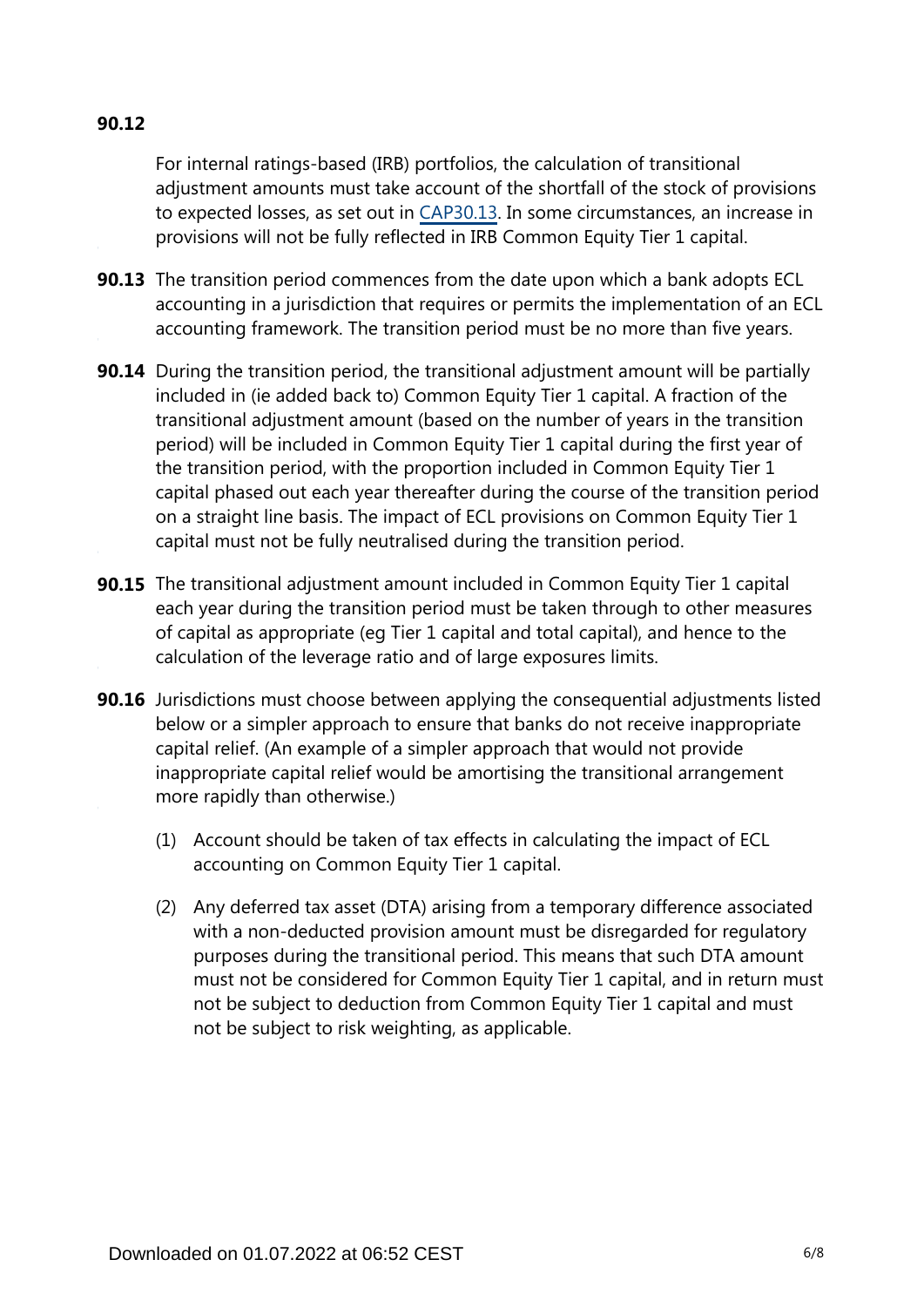## **90.12**

For internal ratings-based (IRB) portfolios, the calculation of transitional adjustment amounts must take account of the shortfall of the stock of provisions to expected losses, as set out in [CAP30.13.](https://www.bis.org/basel_framework/chapter/CAP/30.htm?tldate=20220101&inforce=20191215&published=20191215#paragraph_CAP_30_20191215_30_13) In some circumstances, an increase in provisions will not be fully reflected in IRB Common Equity Tier 1 capital.

- **90.13** The transition period commences from the date upon which a bank adopts ECL accounting in a jurisdiction that requires or permits the implementation of an ECL accounting framework. The transition period must be no more than five years.
- **90.14** During the transition period, the transitional adjustment amount will be partially included in (ie added back to) Common Equity Tier 1 capital. A fraction of the transitional adjustment amount (based on the number of years in the transition period) will be included in Common Equity Tier 1 capital during the first year of the transition period, with the proportion included in Common Equity Tier 1 capital phased out each year thereafter during the course of the transition period on a straight line basis. The impact of ECL provisions on Common Equity Tier 1 capital must not be fully neutralised during the transition period.
- **90.15** The transitional adjustment amount included in Common Equity Tier 1 capital each year during the transition period must be taken through to other measures of capital as appropriate (eg Tier 1 capital and total capital), and hence to the calculation of the leverage ratio and of large exposures limits.
- **90.16** Jurisdictions must choose between applying the consequential adjustments listed below or a simpler approach to ensure that banks do not receive inappropriate capital relief. (An example of a simpler approach that would not provide inappropriate capital relief would be amortising the transitional arrangement more rapidly than otherwise.)
	- (1) Account should be taken of tax effects in calculating the impact of ECL accounting on Common Equity Tier 1 capital.
	- (2) Any deferred tax asset (DTA) arising from a temporary difference associated with a non-deducted provision amount must be disregarded for regulatory purposes during the transitional period. This means that such DTA amount must not be considered for Common Equity Tier 1 capital, and in return must not be subject to deduction from Common Equity Tier 1 capital and must not be subject to risk weighting, as applicable.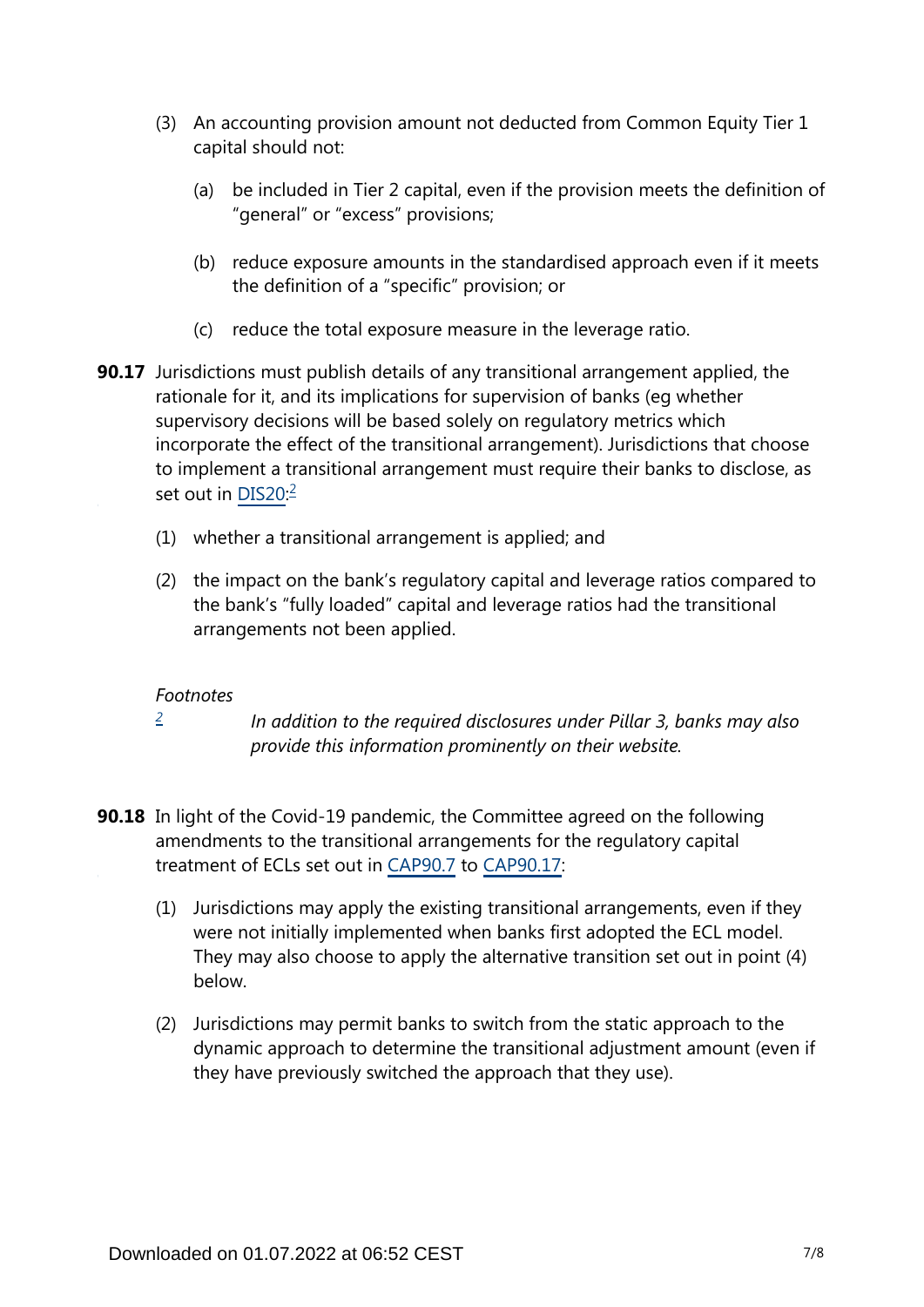- (3) An accounting provision amount not deducted from Common Equity Tier 1 capital should not:
	- (a) be included in Tier 2 capital, even if the provision meets the definition of "general" or "excess" provisions;
	- (b) reduce exposure amounts in the standardised approach even if it meets the definition of a "specific" provision; or
	- (c) reduce the total exposure measure in the leverage ratio.
- <span id="page-6-1"></span>**90.17** Jurisdictions must publish details of any transitional arrangement applied, the rationale for it, and its implications for supervision of banks (eg whether supervisory decisions will be based solely on regulatory metrics which incorporate the effect of the transitional arrangement). Jurisdictions that choose to implement a transitional arrangement must require their banks to disclose, as set out in <u>DIS[2](#page-6-0)0</u>:<sup>2</sup>
	- (1) whether a transitional arrangement is applied; and
	- (2) the impact on the bank's regulatory capital and leverage ratios compared to the bank's "fully loaded" capital and leverage ratios had the transitional arrangements not been applied.

### *Footnotes*

- *[2](#page-6-1)*
- *In addition to the required disclosures under Pillar 3, banks may also provide this information prominently on their website.*
- <span id="page-6-0"></span>**90.18** In light of the Covid-19 pandemic, the Committee agreed on the following amendments to the transitional arrangements for the regulatory capital treatment of ECLs set out in [CAP90.7](https://www.bis.org/basel_framework/chapter/CAP/90.htm?tldate=20220101&inforce=20200403&published=20200403#paragraph_CAP_90_20200403_90_7) to [CAP90.17:](https://www.bis.org/basel_framework/chapter/CAP/90.htm?tldate=20220101&inforce=20200403&published=20200403#paragraph_CAP_90_20200403_90_17)
	- (1) Jurisdictions may apply the existing transitional arrangements, even if they were not initially implemented when banks first adopted the ECL model. They may also choose to apply the alternative transition set out in point (4) below.
	- (2) Jurisdictions may permit banks to switch from the static approach to the dynamic approach to determine the transitional adjustment amount (even if they have previously switched the approach that they use).